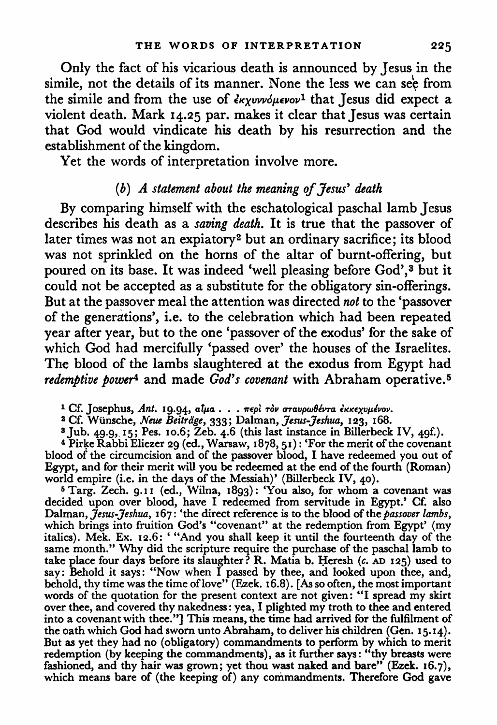Only the fact of his vicarious death is announced by Jesus in the simile, not the details of its manner. None the less we can see from the simile and from the use of  $\epsilon_{K\chi\nu\nu\nu\phi\mu\epsilon\nu\sigma\nu}$ <sup>1</sup> that Jesus did expect a violent death. Mark 14.25 par. makes it clear that Jesus was certain that God would vindicate his death by his resurrection and the establishment of the kingdom.

Yet the words of interpretation involve more.

## *(b) A statement about the meaning of Jesus' death*

By comparing himself with the eschatological paschal lamb Jesus describes his death as a *saving death.* It is true that the passover of later times was not an expiatory2 but an ordinary sacrifice; its blood was not sprinkled on the horns of the altar of burnt-offering, but poured on its base. It was indeed 'well pleasing before God',<sup>3</sup> but it could not be accepted as a substitute for the obligatory sin-offerings. But at the passover meal the attention was directed *not* to the 'passover of the generations', i.e. to the celebration which had been repeated year after year, but to the one 'passover of the exodus' for the sake of which God had mercifully 'passed over' the houses of the Israelites. The blood of the lambs slaughtered at the exodus from Egypt had *redemptive power<sup>4</sup>* and made *God's covenant* with Abraham operative.<sup>5</sup>

<sup>1</sup> Cf. Josephus, Ant. 19.94, αίμα... περί τον σταυρωθέντα έκκεχυμένον.

<sup>2</sup> Cf. Wünsche, *Neue Beiträge*, 333; Dalman, *Jesus-Jeshua*, 123, 168.<br><sup>3</sup> Jub. 49.9, 15; Pes. 10.6; Zeb. 4.6 (this last instance in Billerbeck IV, 49f.).

<sup>4</sup> Pirke Rabbi Eliezer 29 (ed., Warsaw, 1878, 51): 'For the merit of the covenant blood of the circumcision and of the passover blood, I have redeemed you out of Egypt, and for their merit will you be redeemed at the end of the fourth (Roman) world empire (i.e. in the days of the Messiah)' (Billerbeck IV, 40).<br><sup>5</sup> Targ. Zech. 9.11 (ed., Wilna, 1893): 'You also, for whom a covenant was

decided upon over blood, have I redeemed from servitude in Egypt.' Cf. also Dalman,  $\hat{J}$ esus- $\hat{J}$ eshua, 167: 'the direct reference is to the blood of the *passover lambs*, which brings into fruition God's "covenant" at the redemption from Egypt' (my italics). Mek. Ex. 12.6: "'And you shall keep it until the fourteenth day of the same month." Why did the scripture require the purchase of the paschal lamb to take place four days before its slaughter? R. Matia b. Heresh (c. AD 125) used to say: Behold it says: "Now when I passed by thee, and looked upon thee, and, behold, thy time was the time of love" (Ezek. 16.8). [As so often, the most important words of the quotation for the present context are not given: "I spread my skirt over thee, and covered thy nakedness: yea, I plighted my troth to thee and entered into a covenant with thee."] This means, the time had arrived for the fulfilment of the oath which God had sworn unto Abraham, to deliver his children (Gen. 15.14). But as yet they had no (obligatory) commandments to perform by which to merit redemption (by keeping the commandments), as it further says: "thy breasts were fashioned, and thy hair was grown; yet thou wast naked and bare" (Ezek. 16.7), which means bare of (the keeping of) any commandments. Therefore God gave